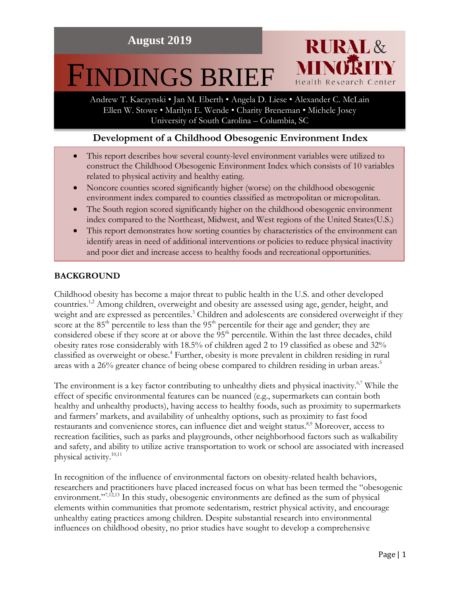# FINDINGS BRIEF

Andrew T. Kaczynski • Jan M. Eberth • Angela D. Liese • Alexander C. McLain Ellen W. Stowe • Marilyn E. Wende • Charity Breneman • Michele Josey University of South Carolina – Columbia, SC

**RURAL&** 

Health Research Center

# **Development of a Childhood Obesogenic Environment Index**

- This report describes how several county-level environment variables were utilized to construct the Childhood Obesogenic Environment Index which consists of 10 variables related to physical activity and healthy eating.
- Noncore counties scored significantly higher (worse) on the childhood obesogenic environment index compared to counties classified as metropolitan or micropolitan.
- The South region scored significantly higher on the childhood obesogenic environment index compared to the Northeast, Midwest, and West regions of the United States(U.S.)
- This report demonstrates how sorting counties by characteristics of the environment can identify areas in need of additional interventions or policies to reduce physical inactivity and poor diet and increase access to healthy foods and recreational opportunities.

# **BACKGROUND**

Childhood obesity has become a major threat to public health in the U.S. and other developed countries.<sup>1,2</sup> Among children, overweight and obesity are assessed using age, gender, height, and weight and are expressed as percentiles. <sup>3</sup> Children and adolescents are considered overweight if they score at the  $85<sup>th</sup>$  percentile to less than the  $95<sup>th</sup>$  percentile for their age and gender; they are considered obese if they score at or above the 95<sup>th</sup> percentile. Within the last three decades, child obesity rates rose considerably with 18.5% of children aged 2 to 19 classified as obese and 32% classified as overweight or obese. <sup>4</sup> Further, obesity is more prevalent in children residing in rural areas with a 26% greater chance of being obese compared to children residing in urban areas.<sup>5</sup>

The environment is a key factor contributing to unhealthy diets and physical inactivity.<sup>6,7</sup> While the effect of specific environmental features can be nuanced (e.g., supermarkets can contain both healthy and unhealthy products), having access to healthy foods, such as proximity to supermarkets and farmers' markets, and availability of unhealthy options, such as proximity to fast food restaurants and convenience stores, can influence diet and weight status.<sup>8,9</sup> Moreover, access to recreation facilities, such as parks and playgrounds, other neighborhood factors such as walkability and safety, and ability to utilize active transportation to work or school are associated with increased physical activity.<sup>10,11</sup>

In recognition of the influence of environmental factors on obesity-related health behaviors, researchers and practitioners have placed increased focus on what has been termed the "obesogenic environment."<sup>7,12,13</sup> In this study, obesogenic environments are defined as the sum of physical elements within communities that promote sedentarism, restrict physical activity, and encourage unhealthy eating practices among children. Despite substantial research into environmental influences on childhood obesity, no prior studies have sought to develop a comprehensive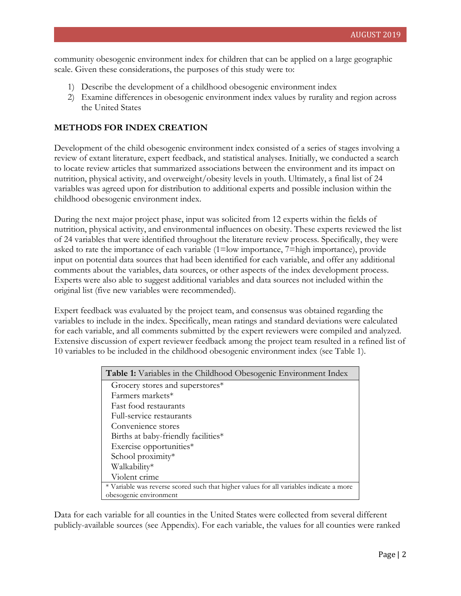community obesogenic environment index for children that can be applied on a large geographic scale. Given these considerations, the purposes of this study were to:

- 1) Describe the development of a childhood obesogenic environment index
- 2) Examine differences in obesogenic environment index values by rurality and region across the United States

#### **METHODS FOR INDEX CREATION**

Development of the child obesogenic environment index consisted of a series of stages involving a review of extant literature, expert feedback, and statistical analyses. Initially, we conducted a search to locate review articles that summarized associations between the environment and its impact on nutrition, physical activity, and overweight/obesity levels in youth. Ultimately, a final list of 24 variables was agreed upon for distribution to additional experts and possible inclusion within the childhood obesogenic environment index.

During the next major project phase, input was solicited from 12 experts within the fields of nutrition, physical activity, and environmental influences on obesity. These experts reviewed the list of 24 variables that were identified throughout the literature review process. Specifically, they were asked to rate the importance of each variable (1=low importance, 7=high importance), provide input on potential data sources that had been identified for each variable, and offer any additional comments about the variables, data sources, or other aspects of the index development process. Experts were also able to suggest additional variables and data sources not included within the original list (five new variables were recommended).

Expert feedback was evaluated by the project team, and consensus was obtained regarding the variables to include in the index. Specifically, mean ratings and standard deviations were calculated for each variable, and all comments submitted by the expert reviewers were compiled and analyzed. Extensive discussion of expert reviewer feedback among the project team resulted in a refined list of 10 variables to be included in the childhood obesogenic environment index (see Table 1).

| <b>Table 1:</b> Variables in the Childhood Obesogenic Environment Index                 |
|-----------------------------------------------------------------------------------------|
| Grocery stores and superstores*                                                         |
| Farmers markets*                                                                        |
| <b>Fast food restaurants</b>                                                            |
| Full-service restaurants                                                                |
| Convenience stores                                                                      |
| Births at baby-friendly facilities*                                                     |
| Exercise opportunities*                                                                 |
| School proximity*                                                                       |
| Walkability*                                                                            |
| Violent crime                                                                           |
| * Variable was reverse scored such that higher values for all variables indicate a more |
| obesogenic environment                                                                  |

Data for each variable for all counties in the United States were collected from several different publicly-available sources (see Appendix). For each variable, the values for all counties were ranked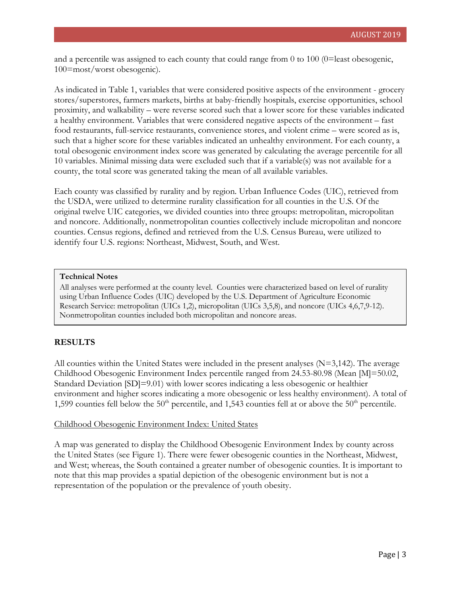and a percentile was assigned to each county that could range from 0 to 100 (0=least obesogenic, 100=most/worst obesogenic).

As indicated in Table 1, variables that were considered positive aspects of the environment - grocery stores/superstores, farmers markets, births at baby-friendly hospitals, exercise opportunities, school proximity, and walkability – were reverse scored such that a lower score for these variables indicated a healthy environment. Variables that were considered negative aspects of the environment – fast food restaurants, full-service restaurants, convenience stores, and violent crime – were scored as is, such that a higher score for these variables indicated an unhealthy environment. For each county, a total obesogenic environment index score was generated by calculating the average percentile for all 10 variables. Minimal missing data were excluded such that if a variable(s) was not available for a county, the total score was generated taking the mean of all available variables.

Each county was classified by rurality and by region. Urban Influence Codes (UIC), retrieved from the USDA, were utilized to determine rurality classification for all counties in the U.S. Of the original twelve UIC categories, we divided counties into three groups: metropolitan, micropolitan and noncore. Additionally, nonmetropolitan counties collectively include micropolitan and noncore counties. Census regions, defined and retrieved from the U.S. Census Bureau, were utilized to identify four U.S. regions: Northeast, Midwest, South, and West.

#### **Technical Notes**

All analyses were performed at the county level. Counties were characterized based on level of rurality using Urban Influence Codes (UIC) developed by the U.S. Department of Agriculture Economic Research Service: metropolitan (UICs 1,2), micropolitan (UICs 3,5,8), and noncore (UICs 4,6,7,9-12). Nonmetropolitan counties included both micropolitan and noncore areas.

#### **RESULTS**

All counties within the United States were included in the present analyses  $(N=3,142)$ . The average Childhood Obesogenic Environment Index percentile ranged from 24.53-80.98 (Mean [M]=50.02, Standard Deviation [SD]=9.01) with lower scores indicating a less obesogenic or healthier environment and higher scores indicating a more obesogenic or less healthy environment). A total of 1,599 counties fell below the 50<sup>th</sup> percentile, and 1,543 counties fell at or above the 50<sup>th</sup> percentile.

#### Childhood Obesogenic Environment Index: United States

A map was generated to display the Childhood Obesogenic Environment Index by county across the United States (see Figure 1). There were fewer obesogenic counties in the Northeast, Midwest, and West; whereas, the South contained a greater number of obesogenic counties. It is important to note that this map provides a spatial depiction of the obesogenic environment but is not a representation of the population or the prevalence of youth obesity.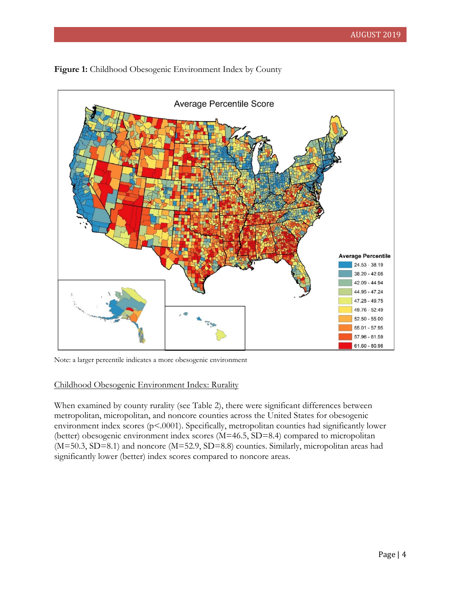

Figure 1: Childhood Obesogenic Environment Index by County

Note: a larger percentile indicates a more obesogenic environment

# Childhood Obesogenic Environment Index: Rurality

When examined by county rurality (see Table 2), there were significant differences between metropolitan, micropolitan, and noncore counties across the United States for obesogenic environment index scores (p<.0001). Specifically, metropolitan counties had significantly lower (better) obesogenic environment index scores (M=46.5, SD=8.4) compared to micropolitan (M=50.3, SD=8.1) and noncore (M=52.9, SD=8.8) counties. Similarly, micropolitan areas had significantly lower (better) index scores compared to noncore areas.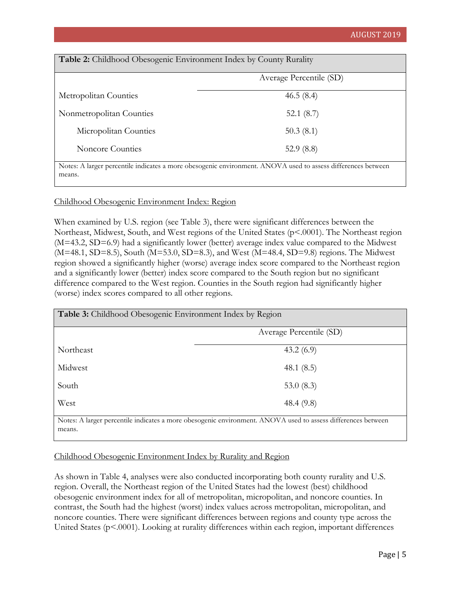| Table 2: Childhood Obesogenic Environment Index by County Rurality |  |
|--------------------------------------------------------------------|--|
|--------------------------------------------------------------------|--|

|                          | Average Percentile (SD)                                                                                      |  |
|--------------------------|--------------------------------------------------------------------------------------------------------------|--|
| Metropolitan Counties    | 46.5(8.4)                                                                                                    |  |
| Nonmetropolitan Counties | 52.1 $(8.7)$                                                                                                 |  |
| Micropolitan Counties    | 50.3(8.1)                                                                                                    |  |
| Noncore Counties         | 52.9 $(8.8)$                                                                                                 |  |
|                          | Notes: A larger percentile indicates a more obesogenic environment. ANOVA used to assess differences between |  |

## Childhood Obesogenic Environment Index: Region

When examined by U.S. region (see Table 3), there were significant differences between the Northeast, Midwest, South, and West regions of the United States (p<.0001). The Northeast region (M=43.2, SD=6.9) had a significantly lower (better) average index value compared to the Midwest (M=48.1, SD=8.5), South (M=53.0, SD=8.3), and West (M=48.4, SD=9.8) regions. The Midwest region showed a significantly higher (worse) average index score compared to the Northeast region and a significantly lower (better) index score compared to the South region but no significant difference compared to the West region. Counties in the South region had significantly higher (worse) index scores compared to all other regions.

| Table 3: Childhood Obesogenic Environment Index by Region |                                                                                                              |  |  |  |
|-----------------------------------------------------------|--------------------------------------------------------------------------------------------------------------|--|--|--|
|                                                           | Average Percentile (SD)                                                                                      |  |  |  |
| Northeast                                                 | 43.2(6.9)                                                                                                    |  |  |  |
| Midwest                                                   | 48.1 $(8.5)$                                                                                                 |  |  |  |
| South                                                     | 53.0 $(8.3)$                                                                                                 |  |  |  |
| West                                                      | 48.4 $(9.8)$                                                                                                 |  |  |  |
|                                                           | Notes: A larger percentile indicates a more obesogenic environment. ANOVA used to assess differences between |  |  |  |

means.

means.

## Childhood Obesogenic Environment Index by Rurality and Region

As shown in Table 4, analyses were also conducted incorporating both county rurality and U.S. region. Overall, the Northeast region of the United States had the lowest (best) childhood obesogenic environment index for all of metropolitan, micropolitan, and noncore counties. In contrast, the South had the highest (worst) index values across metropolitan, micropolitan, and noncore counties. There were significant differences between regions and county type across the United States (p<.0001). Looking at rurality differences within each region, important differences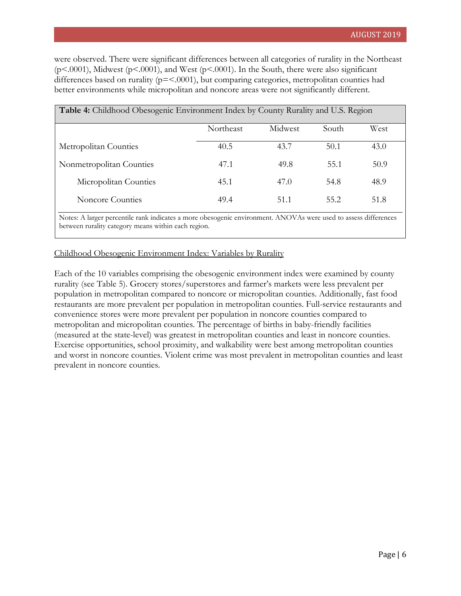were observed. There were significant differences between all categories of rurality in the Northeast  $(p<.0001)$ , Midwest  $(p<.0001)$ , and West  $(p<.0001)$ . In the South, there were also significant differences based on rurality (p=<.0001), but comparing categories, metropolitan counties had better environments while micropolitan and noncore areas were not significantly different.

| <b>Table 4:</b> Childhood Obesogenic Environment Index by County Rurality and U.S. Region |                  |         |       |      |  |
|-------------------------------------------------------------------------------------------|------------------|---------|-------|------|--|
|                                                                                           | <b>Northeast</b> | Midwest | South | West |  |
| Metropolitan Counties                                                                     | 40.5             | 43.7    | 50.1  | 43.0 |  |
| Nonmetropolitan Counties                                                                  | 47.1             | 49.8    | 55.1  | 50.9 |  |
| Micropolitan Counties                                                                     | 45.1             | 47.0    | 54.8  | 48.9 |  |
| Noncore Counties                                                                          | 49.4             | 51.1    | 55.2  | 51.8 |  |

Notes: A larger percentile rank indicates a more obesogenic environment. ANOVAs were used to assess differences between rurality category means within each region.

## Childhood Obesogenic Environment Index: Variables by Rurality

Each of the 10 variables comprising the obesogenic environment index were examined by county rurality (see Table 5). Grocery stores/superstores and farmer's markets were less prevalent per population in metropolitan compared to noncore or micropolitan counties. Additionally, fast food restaurants are more prevalent per population in metropolitan counties. Full-service restaurants and convenience stores were more prevalent per population in noncore counties compared to metropolitan and micropolitan counties. The percentage of births in baby-friendly facilities (measured at the state-level) was greatest in metropolitan counties and least in noncore counties. Exercise opportunities, school proximity, and walkability were best among metropolitan counties and worst in noncore counties. Violent crime was most prevalent in metropolitan counties and least prevalent in noncore counties.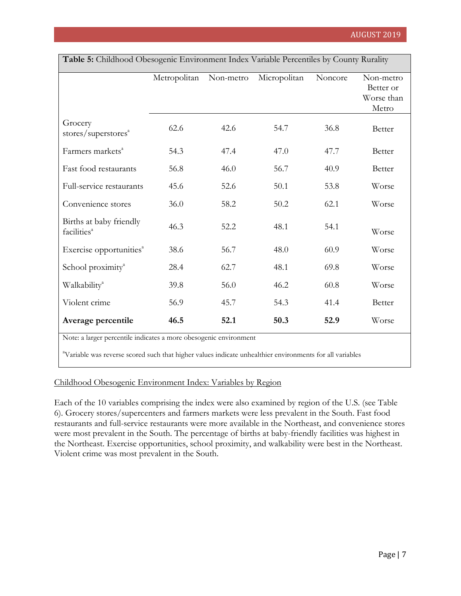| <b>Table 5:</b> Childhood Obesogenic Environment Index Variable Percentiles by County Rurality |              |           |              |         |                                               |  |
|------------------------------------------------------------------------------------------------|--------------|-----------|--------------|---------|-----------------------------------------------|--|
|                                                                                                | Metropolitan | Non-metro | Micropolitan | Noncore | Non-metro<br>Better or<br>Worse than<br>Metro |  |
| Grocery<br>stores/superstores <sup>a</sup>                                                     | 62.6         | 42.6      | 54.7         | 36.8    | Better                                        |  |
| Farmers markets <sup>a</sup>                                                                   | 54.3         | 47.4      | 47.0         | 47.7    | Better                                        |  |
| Fast food restaurants                                                                          | 56.8         | 46.0      | 56.7         | 40.9    | Better                                        |  |
| Full-service restaurants                                                                       | 45.6         | 52.6      | 50.1         | 53.8    | Worse                                         |  |
| Convenience stores                                                                             | 36.0         | 58.2      | 50.2         | 62.1    | Worse                                         |  |
| Births at baby friendly<br>facilities <sup>a</sup>                                             | 46.3         | 52.2      | 48.1         | 54.1    | Worse                                         |  |
| Exercise opportunities <sup>a</sup>                                                            | 38.6         | 56.7      | 48.0         | 60.9    | Worse                                         |  |
| School proximity <sup>a</sup>                                                                  | 28.4         | 62.7      | 48.1         | 69.8    | Worse                                         |  |
| Walkability <sup>a</sup>                                                                       | 39.8         | 56.0      | 46.2         | 60.8    | Worse                                         |  |
| Violent crime                                                                                  | 56.9         | 45.7      | 54.3         | 41.4    | Better                                        |  |
| Average percentile                                                                             | 46.5         | 52.1      | 50.3         | 52.9    | Worse                                         |  |

**Table 5:** Childhood Obesogenic Environment Index Variable Percentiles by County Rurality

Note: a larger percentile indicates a more obesogenic environment

<sup>a</sup>Variable was reverse scored such that higher values indicate unhealthier environments for all variables

## Childhood Obesogenic Environment Index: Variables by Region

Each of the 10 variables comprising the index were also examined by region of the U.S. (see Table 6). Grocery stores/supercenters and farmers markets were less prevalent in the South. Fast food restaurants and full-service restaurants were more available in the Northeast, and convenience stores were most prevalent in the South. The percentage of births at baby-friendly facilities was highest in the Northeast. Exercise opportunities, school proximity, and walkability were best in the Northeast. Violent crime was most prevalent in the South.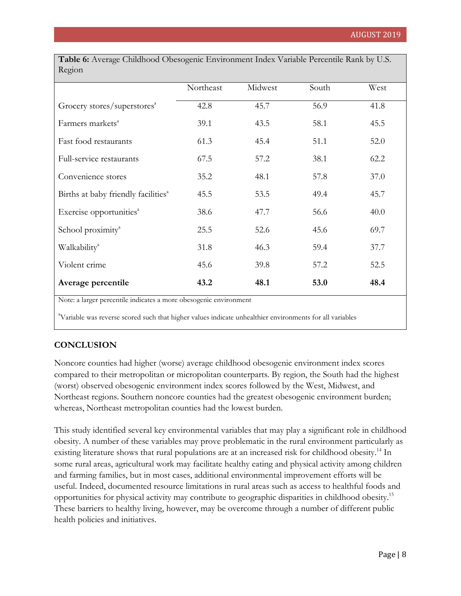| Table 6: Average Childhood Obesogenic Environment Index Variable Percentile Rank by U.S. |           |         |       |      |  |  |  |  |
|------------------------------------------------------------------------------------------|-----------|---------|-------|------|--|--|--|--|
| Region                                                                                   |           |         |       |      |  |  |  |  |
|                                                                                          | Northeast | Midwest | South | West |  |  |  |  |
| Grocery stores/superstores <sup>a</sup>                                                  | 42.8      | 45.7    | 56.9  | 41.8 |  |  |  |  |
| Farmers markets <sup>a</sup>                                                             | 39.1      | 43.5    | 58.1  | 45.5 |  |  |  |  |
| Fast food restaurants                                                                    | 61.3      | 45.4    | 51.1  | 52.0 |  |  |  |  |
| Full-service restaurants                                                                 | 67.5      | 57.2    | 38.1  | 62.2 |  |  |  |  |

Convenience stores 35.2 48.1 57.8 37.0

Births at baby friendly facilities<sup>a</sup> 45.5 53.5 49.4 45.7

Exercise opportunities<sup> $38.6$ </sup> 47.7 56.6 40.0

School proximity<sup>4</sup> 25.5 52.6 45.6 69.7

Walkability<sup>a</sup> 131.8 46.3 59.4 37.7

Violent crime  $45.6$   $39.8$   $57.2$   $52.5$ 

**Average percentile 43.2 48.1 53.0 48.4**

Note: a larger percentile indicates a more obesogenic environment

<sup>a</sup>Variable was reverse scored such that higher values indicate unhealthier environments for all variables

## **CONCLUSION**

Noncore counties had higher (worse) average childhood obesogenic environment index scores compared to their metropolitan or micropolitan counterparts. By region, the South had the highest (worst) observed obesogenic environment index scores followed by the West, Midwest, and Northeast regions. Southern noncore counties had the greatest obesogenic environment burden; whereas, Northeast metropolitan counties had the lowest burden.

This study identified several key environmental variables that may play a significant role in childhood obesity. A number of these variables may prove problematic in the rural environment particularly as existing literature shows that rural populations are at an increased risk for childhood obesity.<sup>14</sup> In some rural areas, agricultural work may facilitate healthy eating and physical activity among children and farming families, but in most cases, additional environmental improvement efforts will be useful. Indeed, documented resource limitations in rural areas such as access to healthful foods and opportunities for physical activity may contribute to geographic disparities in childhood obesity.15 These barriers to healthy living, however, may be overcome through a number of different public health policies and initiatives.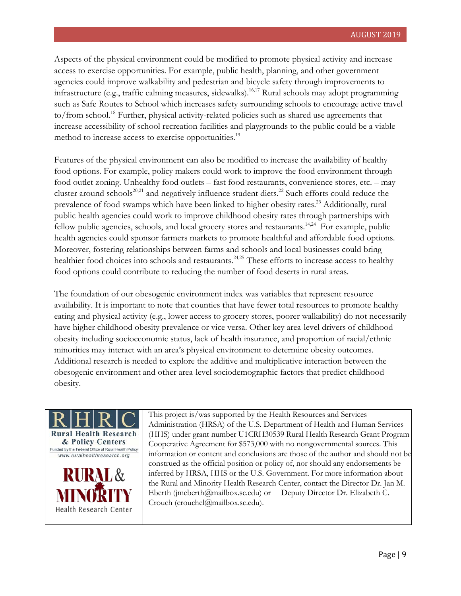Aspects of the physical environment could be modified to promote physical activity and increase access to exercise opportunities. For example, public health, planning, and other government agencies could improve walkability and pedestrian and bicycle safety through improvements to infrastructure (e.g., traffic calming measures, sidewalks).<sup>16,17</sup> Rural schools may adopt programming such as Safe Routes to School which increases safety surrounding schools to encourage active travel to/from school.<sup>18</sup> Further, physical activity-related policies such as shared use agreements that increase accessibility of school recreation facilities and playgrounds to the public could be a viable method to increase access to exercise opportunities.<sup>19</sup>

Features of the physical environment can also be modified to increase the availability of healthy food options. For example, policy makers could work to improve the food environment through food outlet zoning. Unhealthy food outlets – fast food restaurants, convenience stores, etc. – may cluster around schools<sup>20,21</sup> and negatively influence student diets.<sup>22</sup> Such efforts could reduce the prevalence of food swamps which have been linked to higher obesity rates.<sup>23</sup> Additionally, rural public health agencies could work to improve childhood obesity rates through partnerships with fellow public agencies, schools, and local grocery stores and restaurants.<sup>14,24</sup> For example, public health agencies could sponsor farmers markets to promote healthful and affordable food options. Moreover, fostering relationships between farms and schools and local businesses could bring healthier food choices into schools and restaurants.<sup>24,25</sup> These efforts to increase access to healthy food options could contribute to reducing the number of food deserts in rural areas.

The foundation of our obesogenic environment index was variables that represent resource availability. It is important to note that counties that have fewer total resources to promote healthy eating and physical activity (e.g., lower access to grocery stores, poorer walkability) do not necessarily have higher childhood obesity prevalence or vice versa. Other key area-level drivers of childhood obesity including socioeconomic status, lack of health insurance, and proportion of racial/ethnic minorities may interact with an area's physical environment to determine obesity outcomes. Additional research is needed to explore the additive and multiplicative interaction between the obesogenic environment and other area-level sociodemographic factors that predict childhood obesity.



This project is/was supported by the Health Resources and Services Administration (HRSA) of the U.S. Department of Health and Human Services (HHS) under grant number U1CRH30539 Rural Health Research Grant Program Cooperative Agreement for \$573,000 with no nongovernmental sources. This information or content and conclusions are those of the author and should not be construed as the official position or policy of, nor should any endorsements be inferred by HRSA, HHS or the U.S. Government. For more information about the Rural and Minority Health Research Center, contact the Director Dr. Jan M. Eberth (jmeberth@mailbox.sc.edu) or Deputy Director Dr. Elizabeth C. Crouch (crouchel@mailbox.sc.edu).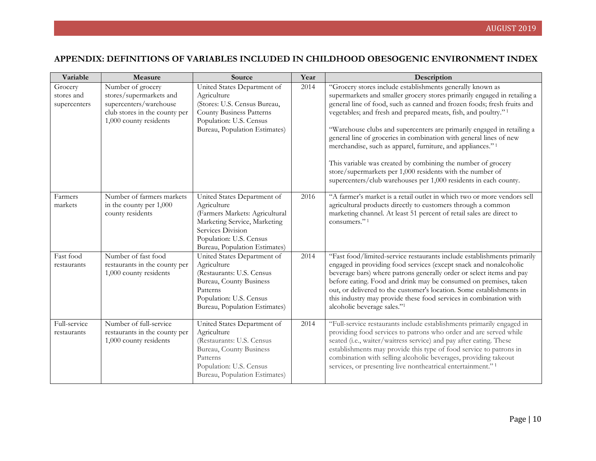# **APPENDIX: DEFINITIONS OF VARIABLES INCLUDED IN CHILDHOOD OBESOGENIC ENVIRONMENT INDEX**

| Variable                              | Measure                                                                                                                           | Source                                                                                                                                                                                        | Year | Description                                                                                                                                                                                                                                                                                                                                                                                                                                                                                                                                                                                                                                                                                                               |
|---------------------------------------|-----------------------------------------------------------------------------------------------------------------------------------|-----------------------------------------------------------------------------------------------------------------------------------------------------------------------------------------------|------|---------------------------------------------------------------------------------------------------------------------------------------------------------------------------------------------------------------------------------------------------------------------------------------------------------------------------------------------------------------------------------------------------------------------------------------------------------------------------------------------------------------------------------------------------------------------------------------------------------------------------------------------------------------------------------------------------------------------------|
| Grocery<br>stores and<br>supercenters | Number of grocery<br>stores/supermarkets and<br>supercenters/warehouse<br>club stores in the county per<br>1,000 county residents | United States Department of<br>Agriculture<br>(Stores: U.S. Census Bureau,<br><b>County Business Patterns</b><br>Population: U.S. Census<br>Bureau, Population Estimates)                     | 2014 | "Grocery stores include establishments generally known as<br>supermarkets and smaller grocery stores primarily engaged in retailing a<br>general line of food, such as canned and frozen foods; fresh fruits and<br>vegetables; and fresh and prepared meats, fish, and poultry." <sup>1</sup><br>"Warehouse clubs and supercenters are primarily engaged in retailing a<br>general line of groceries in combination with general lines of new<br>merchandise, such as apparel, furniture, and appliances." <sup>1</sup><br>This variable was created by combining the number of grocery<br>store/supermarkets per 1,000 residents with the number of<br>supercenters/club warehouses per 1,000 residents in each county. |
| Farmers<br>markets                    | Number of farmers markets<br>in the county per 1,000<br>county residents                                                          | United States Department of<br>Agriculture<br>(Farmers Markets: Agricultural<br>Marketing Service, Marketing<br>Services Division<br>Population: U.S. Census<br>Bureau, Population Estimates) | 2016 | "A farmer's market is a retail outlet in which two or more vendors sell<br>agricultural products directly to customers through a common<br>marketing channel. At least 51 percent of retail sales are direct to<br>consumers." <sup>1</sup>                                                                                                                                                                                                                                                                                                                                                                                                                                                                               |
| Fast food<br>restaurants              | Number of fast food<br>restaurants in the county per<br>1,000 county residents                                                    | United States Department of<br>Agriculture<br>(Restaurants: U.S. Census<br>Bureau, County Business<br>Patterns<br>Population: U.S. Census<br>Bureau, Population Estimates)                    | 2014 | "Fast food/limited-service restaurants include establishments primarily<br>engaged in providing food services (except snack and nonalcoholic<br>beverage bars) where patrons generally order or select items and pay<br>before eating. Food and drink may be consumed on premises, taken<br>out, or delivered to the customer's location. Some establishments in<br>this industry may provide these food services in combination with<br>alcoholic beverage sales."1                                                                                                                                                                                                                                                      |
| Full-service<br>restaurants           | Number of full-service<br>restaurants in the county per<br>1,000 county residents                                                 | United States Department of<br>Agriculture<br>(Restaurants: U.S. Census<br>Bureau, County Business<br>Patterns<br>Population: U.S. Census<br>Bureau, Population Estimates)                    | 2014 | "Full-service restaurants include establishments primarily engaged in<br>providing food services to patrons who order and are served while<br>seated (i.e., waiter/waitress service) and pay after eating. These<br>establishments may provide this type of food service to patrons in<br>combination with selling alcoholic beverages, providing takeout<br>services, or presenting live nontheatrical entertainment." <sup>1</sup>                                                                                                                                                                                                                                                                                      |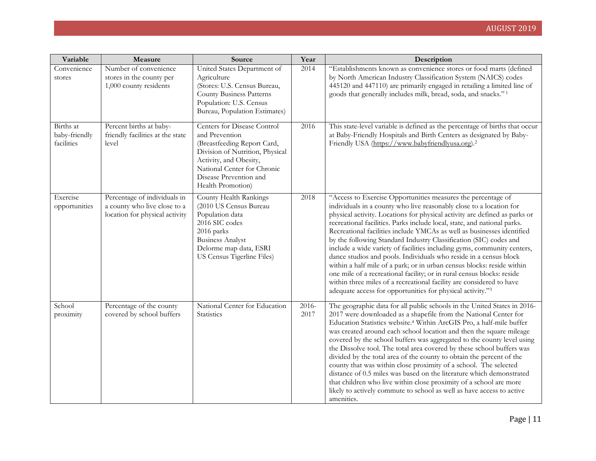| Variable                                 | Measure                                                                                        | Source                                                                                                                                                                                                                  | Year          | Description                                                                                                                                                                                                                                                                                                                                                                                                                                                                                                                                                                                                                                                                                                                                                                                                                                                                            |
|------------------------------------------|------------------------------------------------------------------------------------------------|-------------------------------------------------------------------------------------------------------------------------------------------------------------------------------------------------------------------------|---------------|----------------------------------------------------------------------------------------------------------------------------------------------------------------------------------------------------------------------------------------------------------------------------------------------------------------------------------------------------------------------------------------------------------------------------------------------------------------------------------------------------------------------------------------------------------------------------------------------------------------------------------------------------------------------------------------------------------------------------------------------------------------------------------------------------------------------------------------------------------------------------------------|
| Convenience<br>stores                    | Number of convenience<br>stores in the county per<br>1,000 county residents                    | United States Department of<br>Agriculture<br>(Stores: U.S. Census Bureau,<br><b>County Business Patterns</b><br>Population: U.S. Census<br>Bureau, Population Estimates)                                               | 2014          | "Establishments known as convenience stores or food marts (defined<br>by North American Industry Classification System (NAICS) codes<br>445120 and 447110) are primarily engaged in retailing a limited line of<br>goods that generally includes milk, bread, soda, and snacks." <sup>1</sup>                                                                                                                                                                                                                                                                                                                                                                                                                                                                                                                                                                                          |
| Births at<br>baby-friendly<br>facilities | Percent births at baby-<br>friendly facilities at the state<br>level                           | Centers for Disease Control<br>and Prevention<br>(Breastfeeding Report Card,<br>Division of Nutrition, Physical<br>Activity, and Obesity,<br>National Center for Chronic<br>Disease Prevention and<br>Health Promotion) | 2016          | This state-level variable is defined as the percentage of births that occur<br>at Baby-Friendly Hospitals and Birth Centers as designated by Baby-<br>Friendly USA (https://www.babyfriendlyusa.org). <sup>2</sup>                                                                                                                                                                                                                                                                                                                                                                                                                                                                                                                                                                                                                                                                     |
| Exercise<br>opportunities                | Percentage of individuals in<br>a county who live close to a<br>location for physical activity | County Health Rankings<br>(2010 US Census Bureau<br>Population data<br>2016 SIC codes<br>2016 parks<br><b>Business Analyst</b><br>Delorme map data, ESRI<br>US Census Tigerline Files)                                  | 2018          | "Access to Exercise Opportunities measures the percentage of<br>individuals in a county who live reasonably close to a location for<br>physical activity. Locations for physical activity are defined as parks or<br>recreational facilities. Parks include local, state, and national parks.<br>Recreational facilities include YMCAs as well as businesses identified<br>by the following Standard Industry Classification (SIC) codes and<br>include a wide variety of facilities including gyms, community centers,<br>dance studios and pools. Individuals who reside in a census block<br>within a half mile of a park; or in urban census blocks: reside within<br>one mile of a recreational facility; or in rural census blocks: reside<br>within three miles of a recreational facility are considered to have<br>adequate access for opportunities for physical activity."3 |
| School<br>proximity                      | Percentage of the county<br>covered by school buffers                                          | National Center for Education<br>Statistics                                                                                                                                                                             | 2016-<br>2017 | The geographic data for all public schools in the United States in 2016-<br>2017 were downloaded as a shapefile from the National Center for<br>Education Statistics website. <sup>4</sup> Within ArcGIS Pro, a half-mile buffer<br>was created around each school location and then the square mileage<br>covered by the school buffers was aggregated to the county level using<br>the Dissolve tool. The total area covered by these school buffers was<br>divided by the total area of the county to obtain the percent of the<br>county that was within close proximity of a school. The selected<br>distance of 0.5 miles was based on the literature which demonstrated<br>that children who live within close proximity of a school are more<br>likely to actively commute to school as well as have access to active<br>amenities.                                            |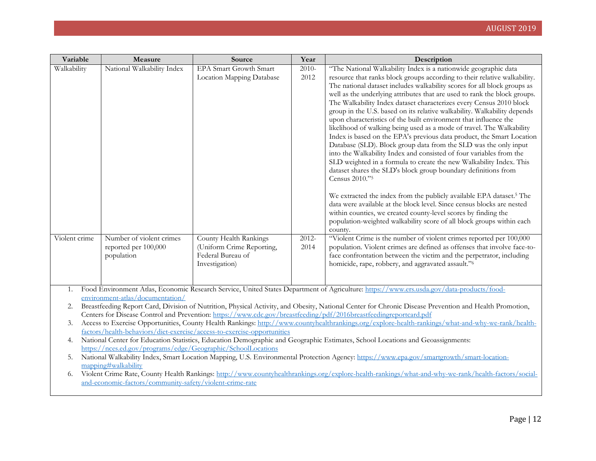| Variable      | Measure                                                                                                                                                                                                         | Source                                                                  | Year     | Description                                                                                                                                            |  |  |
|---------------|-----------------------------------------------------------------------------------------------------------------------------------------------------------------------------------------------------------------|-------------------------------------------------------------------------|----------|--------------------------------------------------------------------------------------------------------------------------------------------------------|--|--|
| Walkability   | National Walkability Index                                                                                                                                                                                      | EPA Smart Growth Smart                                                  | $2010 -$ | "The National Walkability Index is a nationwide geographic data                                                                                        |  |  |
|               |                                                                                                                                                                                                                 | Location Mapping Database                                               | 2012     | resource that ranks block groups according to their relative walkability.                                                                              |  |  |
|               |                                                                                                                                                                                                                 |                                                                         |          | The national dataset includes walkability scores for all block groups as                                                                               |  |  |
|               |                                                                                                                                                                                                                 |                                                                         |          | well as the underlying attributes that are used to rank the block groups.                                                                              |  |  |
|               |                                                                                                                                                                                                                 |                                                                         |          | The Walkability Index dataset characterizes every Census 2010 block                                                                                    |  |  |
|               |                                                                                                                                                                                                                 |                                                                         |          | group in the U.S. based on its relative walkability. Walkability depends<br>upon characteristics of the built environment that influence the           |  |  |
|               |                                                                                                                                                                                                                 |                                                                         |          | likelihood of walking being used as a mode of travel. The Walkability                                                                                  |  |  |
|               |                                                                                                                                                                                                                 |                                                                         |          | Index is based on the EPA's previous data product, the Smart Location                                                                                  |  |  |
|               |                                                                                                                                                                                                                 |                                                                         |          | Database (SLD). Block group data from the SLD was the only input                                                                                       |  |  |
|               |                                                                                                                                                                                                                 |                                                                         |          | into the Walkability Index and consisted of four variables from the                                                                                    |  |  |
|               |                                                                                                                                                                                                                 |                                                                         |          | SLD weighted in a formula to create the new Walkability Index. This                                                                                    |  |  |
|               |                                                                                                                                                                                                                 |                                                                         |          | dataset shares the SLD's block group boundary definitions from                                                                                         |  |  |
|               |                                                                                                                                                                                                                 |                                                                         |          | Census 2010."5                                                                                                                                         |  |  |
|               |                                                                                                                                                                                                                 |                                                                         |          | We extracted the index from the publicly available EPA dataset. <sup>5</sup> The                                                                       |  |  |
|               |                                                                                                                                                                                                                 |                                                                         |          | data were available at the block level. Since census blocks are nested                                                                                 |  |  |
|               |                                                                                                                                                                                                                 |                                                                         |          | within counties, we created county-level scores by finding the                                                                                         |  |  |
|               |                                                                                                                                                                                                                 |                                                                         |          | population-weighted walkability score of all block groups within each                                                                                  |  |  |
| Violent crime | Number of violent crimes                                                                                                                                                                                        | County Health Rankings                                                  | $2012 -$ | county.<br>"Violent Crime is the number of violent crimes reported per 100,000                                                                         |  |  |
|               | reported per 100,000                                                                                                                                                                                            | (Uniform Crime Reporting,                                               | 2014     | population. Violent crimes are defined as offenses that involve face-to-                                                                               |  |  |
|               | population                                                                                                                                                                                                      | Federal Bureau of                                                       |          | face confrontation between the victim and the perpetrator, including                                                                                   |  |  |
|               |                                                                                                                                                                                                                 | Investigation)                                                          |          | homicide, rape, robbery, and aggravated assault."6                                                                                                     |  |  |
|               |                                                                                                                                                                                                                 |                                                                         |          |                                                                                                                                                        |  |  |
|               |                                                                                                                                                                                                                 |                                                                         |          |                                                                                                                                                        |  |  |
| 1.            | environment-atlas/documentation/                                                                                                                                                                                |                                                                         |          | Food Environment Atlas, Economic Research Service, United States Department of Agriculture: https://www.ers.usda.gov/data-products/food-               |  |  |
| 2.            |                                                                                                                                                                                                                 |                                                                         |          | Breastfeeding Report Card, Division of Nutrition, Physical Activity, and Obesity, National Center for Chronic Disease Prevention and Health Promotion, |  |  |
|               |                                                                                                                                                                                                                 |                                                                         |          | Centers for Disease Control and Prevention: https://www.cdc.gov/breastfeeding/pdf/2016breastfeedingreportcard.pdf                                      |  |  |
| 3.            |                                                                                                                                                                                                                 |                                                                         |          | Access to Exercise Opportunities, County Health Rankings: http://www.countyhealthrankings.org/explore-health-rankings/what-and-why-we-rank/health-     |  |  |
|               |                                                                                                                                                                                                                 | factors/health-behaviors/diet-exercise/access-to-exercise-opportunities |          |                                                                                                                                                        |  |  |
| 4.            |                                                                                                                                                                                                                 |                                                                         |          | National Center for Education Statistics, Education Demographic and Geographic Estimates, School Locations and Geoassignments:                         |  |  |
|               | https://nces.ed.gov/programs/edge/Geographic/SchoolLocations                                                                                                                                                    |                                                                         |          |                                                                                                                                                        |  |  |
| 5.            | mapping#walkability                                                                                                                                                                                             |                                                                         |          | National Walkability Index, Smart Location Mapping, U.S. Environmental Protection Agency: https://www.epa.gov/smartgrowth/smart-location-              |  |  |
| 6.            |                                                                                                                                                                                                                 |                                                                         |          |                                                                                                                                                        |  |  |
|               | Violent Crime Rate, County Health Rankings: http://www.countyhealthrankings.org/explore-health-rankings/what-and-why-we-rank/health-factors/social-<br>and-economic-factors/community-safety/violent-crime-rate |                                                                         |          |                                                                                                                                                        |  |  |
|               |                                                                                                                                                                                                                 |                                                                         |          |                                                                                                                                                        |  |  |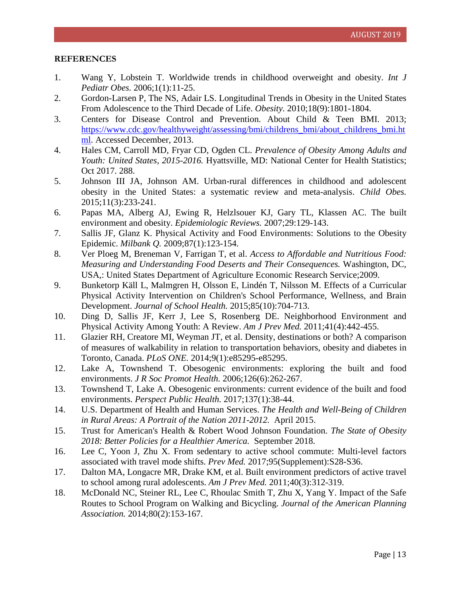#### **REFERENCES**

- 1. Wang Y, Lobstein T. Worldwide trends in childhood overweight and obesity. *Int J Pediatr Obes.* 2006;1(1):11-25.
- 2. Gordon-Larsen P, The NS, Adair LS. Longitudinal Trends in Obesity in the United States From Adolescence to the Third Decade of Life. *Obesity.* 2010;18(9):1801-1804.
- 3. Centers for Disease Control and Prevention. About Child & Teen BMI. 2013; [https://www.cdc.gov/healthyweight/assessing/bmi/childrens\\_bmi/about\\_childrens\\_bmi.ht](https://www.cdc.gov/healthyweight/assessing/bmi/childrens_bmi/about_childrens_bmi.html) [ml.](https://www.cdc.gov/healthyweight/assessing/bmi/childrens_bmi/about_childrens_bmi.html) Accessed December, 2013.
- 4. Hales CM, Carroll MD, Fryar CD, Ogden CL. *Prevalence of Obesity Among Adults and Youth: United States, 2015-2016.* Hyattsville, MD: National Center for Health Statistics; Oct 2017. 288.
- 5. Johnson III JA, Johnson AM. Urban-rural differences in childhood and adolescent obesity in the United States: a systematic review and meta-analysis. *Child Obes.* 2015;11(3):233-241.
- 6. Papas MA, Alberg AJ, Ewing R, Helzlsouer KJ, Gary TL, Klassen AC. The built environment and obesity. *Epidemiologic Reviews.* 2007;29:129-143.
- 7. Sallis JF, Glanz K. Physical Activity and Food Environments: Solutions to the Obesity Epidemic. *Milbank Q.* 2009;87(1):123-154.
- 8. Ver Ploeg M, Breneman V, Farrigan T, et al. *Access to Affordable and Nutritious Food: Measuring and Understanding Food Deserts and Their Consequences.* Washington, DC, USA,: United States Department of Agriculture Economic Research Service;2009.
- 9. Bunketorp Käll L, Malmgren H, Olsson E, Lindén T, Nilsson M. Effects of a Curricular Physical Activity Intervention on Children's School Performance, Wellness, and Brain Development. *Journal of School Health.* 2015;85(10):704-713.
- 10. Ding D, Sallis JF, Kerr J, Lee S, Rosenberg DE. Neighborhood Environment and Physical Activity Among Youth: A Review. *Am J Prev Med.* 2011;41(4):442-455.
- 11. Glazier RH, Creatore MI, Weyman JT, et al. Density, destinations or both? A comparison of measures of walkability in relation to transportation behaviors, obesity and diabetes in Toronto, Canada. *PLoS ONE.* 2014;9(1):e85295-e85295.
- 12. Lake A, Townshend T. Obesogenic environments: exploring the built and food environments. *J R Soc Promot Health.* 2006;126(6):262-267.
- 13. Townshend T, Lake A. Obesogenic environments: current evidence of the built and food environments. *Perspect Public Health.* 2017;137(1):38-44.
- 14. U.S. Department of Health and Human Services. *The Health and Well-Being of Children in Rural Areas: A Portrait of the Nation 2011-2012.* April 2015.
- 15. Trust for American's Health & Robert Wood Johnson Foundation. *The State of Obesity 2018: Better Policies for a Healthier America.* September 2018.
- 16. Lee C, Yoon J, Zhu X. From sedentary to active school commute: Multi-level factors associated with travel mode shifts. *Prev Med.* 2017;95(Supplement):S28-S36.
- 17. Dalton MA, Longacre MR, Drake KM, et al. Built environment predictors of active travel to school among rural adolescents. *Am J Prev Med.* 2011;40(3):312-319.
- 18. McDonald NC, Steiner RL, Lee C, Rhoulac Smith T, Zhu X, Yang Y. Impact of the Safe Routes to School Program on Walking and Bicycling. *Journal of the American Planning Association.* 2014;80(2):153-167.